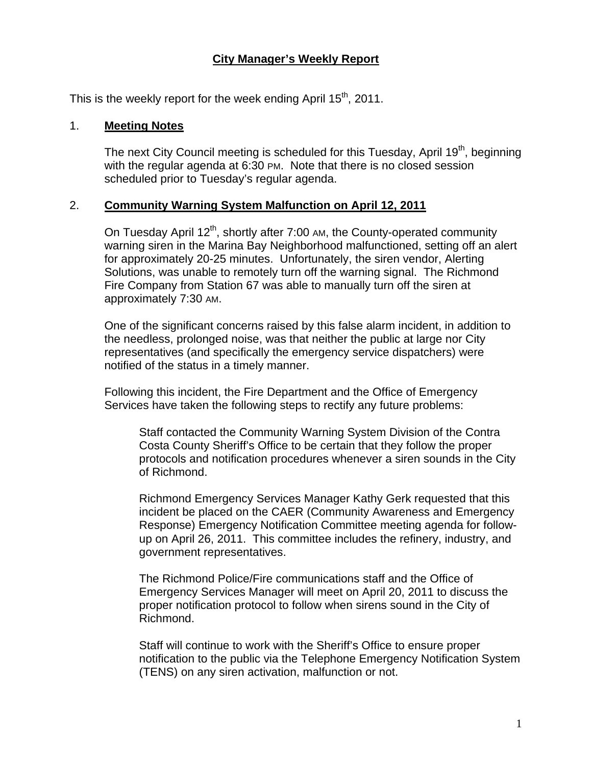### **City Manager's Weekly Report**

This is the weekly report for the week ending April  $15<sup>th</sup>$ , 2011.

#### 1. **Meeting Notes**

The next City Council meeting is scheduled for this Tuesday, April 19<sup>th</sup>, beginning with the regular agenda at 6:30 PM. Note that there is no closed session scheduled prior to Tuesday's regular agenda.

#### 2. **Community Warning System Malfunction on April 12, 2011**

On Tuesday April  $12^{th}$ , shortly after 7:00 AM, the County-operated community warning siren in the Marina Bay Neighborhood malfunctioned, setting off an alert for approximately 20-25 minutes. Unfortunately, the siren vendor, Alerting Solutions, was unable to remotely turn off the warning signal. The Richmond Fire Company from Station 67 was able to manually turn off the siren at approximately 7:30 AM.

One of the significant concerns raised by this false alarm incident, in addition to the needless, prolonged noise, was that neither the public at large nor City representatives (and specifically the emergency service dispatchers) were notified of the status in a timely manner.

Following this incident, the Fire Department and the Office of Emergency Services have taken the following steps to rectify any future problems:

Staff contacted the Community Warning System Division of the Contra Costa County Sheriff's Office to be certain that they follow the proper protocols and notification procedures whenever a siren sounds in the City of Richmond.

Richmond Emergency Services Manager Kathy Gerk requested that this incident be placed on the CAER (Community Awareness and Emergency Response) Emergency Notification Committee meeting agenda for followup on April 26, 2011. This committee includes the refinery, industry, and government representatives.

The Richmond Police/Fire communications staff and the Office of Emergency Services Manager will meet on April 20, 2011 to discuss the proper notification protocol to follow when sirens sound in the City of Richmond.

Staff will continue to work with the Sheriff's Office to ensure proper notification to the public via the Telephone Emergency Notification System (TENS) on any siren activation, malfunction or not.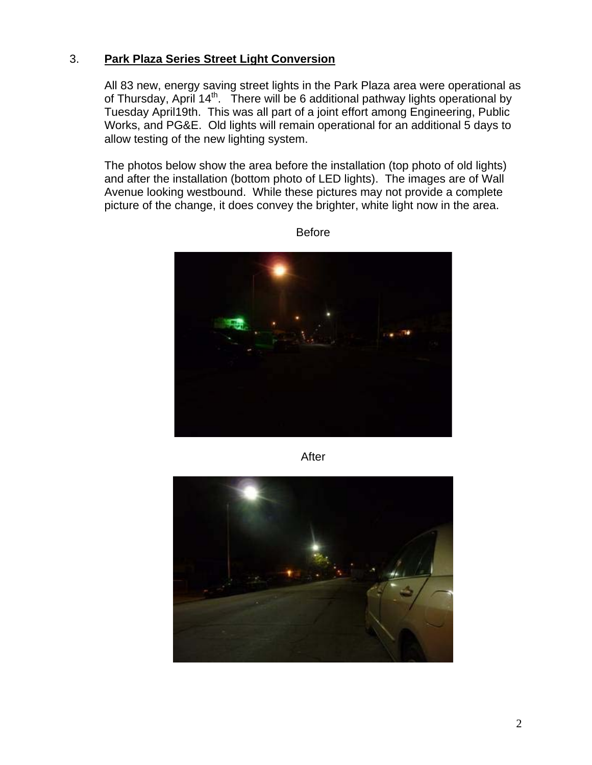### 3. **Park Plaza Series Street Light Conversion**

All 83 new, energy saving street lights in the Park Plaza area were operational as of Thursday, April 14<sup>th</sup>. There will be 6 additional pathway lights operational by Tuesday April19th. This was all part of a joint effort among Engineering, Public Works, and PG&E. Old lights will remain operational for an additional 5 days to allow testing of the new lighting system.

The photos below show the area before the installation (top photo of old lights) and after the installation (bottom photo of LED lights). The images are of Wall Avenue looking westbound. While these pictures may not provide a complete picture of the change, it does convey the brighter, white light now in the area.



Before

After

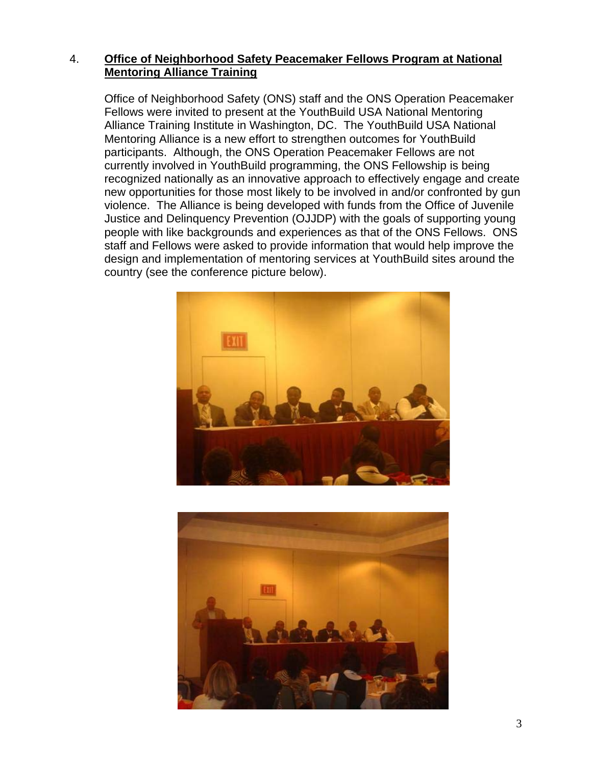### 4. **Office of Neighborhood Safety Peacemaker Fellows Program at National Mentoring Alliance Training**

Office of Neighborhood Safety (ONS) staff and the ONS Operation Peacemaker Fellows were invited to present at the YouthBuild USA National Mentoring Alliance Training Institute in Washington, DC. The YouthBuild USA National Mentoring Alliance is a new effort to strengthen outcomes for YouthBuild participants. Although, the ONS Operation Peacemaker Fellows are not currently involved in YouthBuild programming, the ONS Fellowship is being recognized nationally as an innovative approach to effectively engage and create new opportunities for those most likely to be involved in and/or confronted by gun violence. The Alliance is being developed with funds from the Office of Juvenile Justice and Delinquency Prevention (OJJDP) with the goals of supporting young people with like backgrounds and experiences as that of the ONS Fellows. ONS staff and Fellows were asked to provide information that would help improve the design and implementation of mentoring services at YouthBuild sites around the country (see the conference picture below).



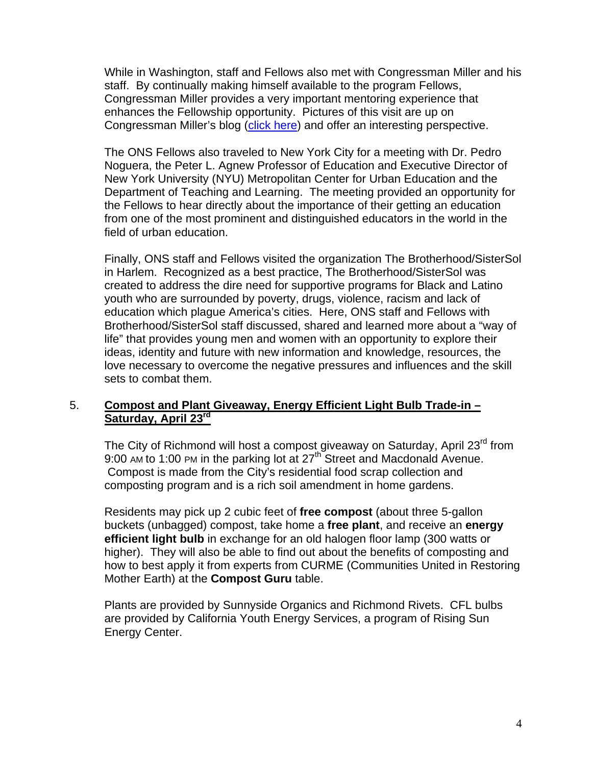While in Washington, staff and Fellows also met with Congressman Miller and his staff. By continually making himself available to the program Fellows, Congressman Miller provides a very important mentoring experience that enhances the Fellowship opportunity. Pictures of this visit are up on Congressman Miller's blog ([click here](http://georgemiller.house.gov/blogs/blog/2011/04/richmond-office-of-neighborhood-safety-peacekeepers-visit-washington-dc.shtml)) and offer an interesting perspective.

The ONS Fellows also traveled to New York City for a meeting with Dr. Pedro Noguera, the Peter L. Agnew Professor of Education and Executive Director of New York University (NYU) Metropolitan Center for Urban Education and the Department of Teaching and Learning. The meeting provided an opportunity for the Fellows to hear directly about the importance of their getting an education from one of the most prominent and distinguished educators in the world in the field of urban education.

Finally, ONS staff and Fellows visited the organization The Brotherhood/SisterSol in Harlem. Recognized as a best practice, The Brotherhood/SisterSol was created to address the dire need for supportive programs for Black and Latino youth who are surrounded by poverty, drugs, violence, racism and lack of education which plague America's cities. Here, ONS staff and Fellows with Brotherhood/SisterSol staff discussed, shared and learned more about a "way of life" that provides young men and women with an opportunity to explore their ideas, identity and future with new information and knowledge, resources, the love necessary to overcome the negative pressures and influences and the skill sets to combat them.

### 5. **Compost and Plant Giveaway, Energy Efficient Light Bulb Trade-in – Saturday, April 23rd**

The City of Richmond will host a compost giveaway on Saturday, April 23<sup>rd</sup> from 9:00 AM to 1:00 PM in the parking lot at 27<sup>th</sup> Street and Macdonald Avenue. Compost is made from the City's residential food scrap collection and composting program and is a rich soil amendment in home gardens.

Residents may pick up 2 cubic feet of **free compost** (about three 5-gallon buckets (unbagged) compost, take home a **free plant**, and receive an **energy efficient light bulb** in exchange for an old halogen floor lamp (300 watts or higher). They will also be able to find out about the benefits of composting and how to best apply it from experts from CURME (Communities United in Restoring Mother Earth) at the **Compost Guru** table.

Plants are provided by Sunnyside Organics and Richmond Rivets. CFL bulbs are provided by California Youth Energy Services, a program of Rising Sun Energy Center.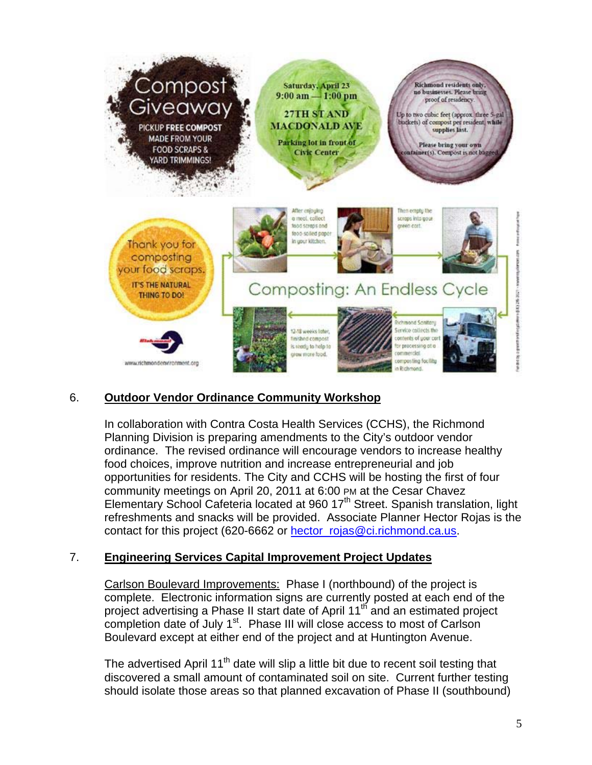

# 6. **Outdoor Vendor Ordinance Community Workshop**

In collaboration with Contra Costa Health Services (CCHS), the Richmond Planning Division is preparing amendments to the City's outdoor vendor ordinance. The revised ordinance will encourage vendors to increase healthy food choices, improve nutrition and increase entrepreneurial and job opportunities for residents. The City and CCHS will be hosting the first of four community meetings on April 20, 2011 at 6:00 PM at the Cesar Chavez Elementary School Cafeteria located at 960 17<sup>th</sup> Street. Spanish translation, light refreshments and snacks will be provided. Associate Planner Hector Rojas is the contact for this project (620-6662 or [hector\\_rojas@ci.richmond.ca.us](mailto:hector_rojas@ci.richmond.ca.us).

## 7. **Engineering Services Capital Improvement Project Updates**

Carlson Boulevard Improvements: Phase I (northbound) of the project is complete. Electronic information signs are currently posted at each end of the project advertising a Phase II start date of April 11<sup>th</sup> and an estimated project completion date of July 1<sup>st</sup>. Phase III will close access to most of Carlson Boulevard except at either end of the project and at Huntington Avenue.

The advertised April 11<sup>th</sup> date will slip a little bit due to recent soil testing that discovered a small amount of contaminated soil on site. Current further testing should isolate those areas so that planned excavation of Phase II (southbound)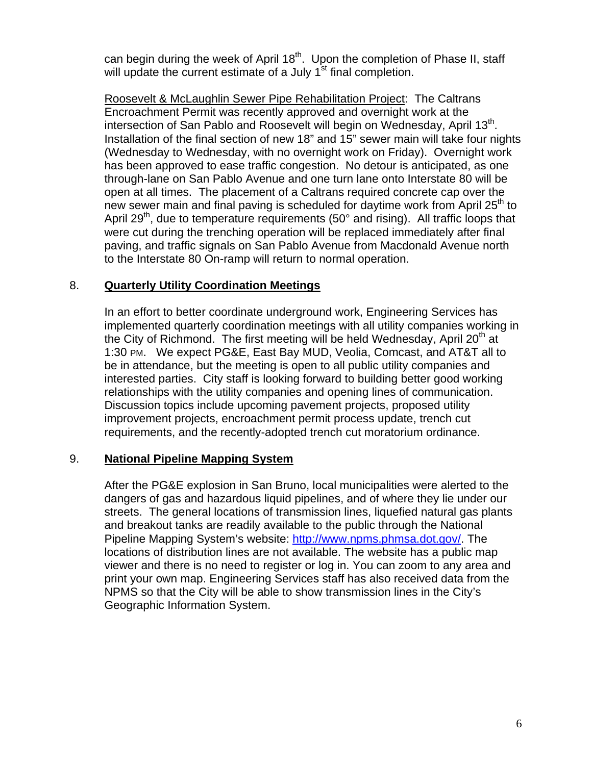can begin during the week of April 18<sup>th</sup>. Upon the completion of Phase II, staff will update the current estimate of a July 1<sup>st</sup> final completion.

Roosevelt & McLaughlin Sewer Pipe Rehabilitation Project: The Caltrans Encroachment Permit was recently approved and overnight work at the intersection of San Pablo and Roosevelt will begin on Wednesday, April 13<sup>th</sup>. Installation of the final section of new 18" and 15" sewer main will take four nights (Wednesday to Wednesday, with no overnight work on Friday). Overnight work has been approved to ease traffic congestion. No detour is anticipated, as one through-lane on San Pablo Avenue and one turn lane onto Interstate 80 will be open at all times. The placement of a Caltrans required concrete cap over the new sewer main and final paving is scheduled for daytime work from April  $25<sup>th</sup>$  to April 29<sup>th</sup>, due to temperature requirements (50 $^{\circ}$  and rising). All traffic loops that were cut during the trenching operation will be replaced immediately after final paving, and traffic signals on San Pablo Avenue from Macdonald Avenue north to the Interstate 80 On-ramp will return to normal operation.

## 8. **Quarterly Utility Coordination Meetings**

In an effort to better coordinate underground work, Engineering Services has implemented quarterly coordination meetings with all utility companies working in the City of Richmond. The first meeting will be held Wednesday, April 20<sup>th</sup> at 1:30 PM. We expect PG&E, East Bay MUD, Veolia, Comcast, and AT&T all to be in attendance, but the meeting is open to all public utility companies and interested parties. City staff is looking forward to building better good working relationships with the utility companies and opening lines of communication. Discussion topics include upcoming pavement projects, proposed utility improvement projects, encroachment permit process update, trench cut requirements, and the recently-adopted trench cut moratorium ordinance.

#### 9. **National Pipeline Mapping System**

After the PG&E explosion in San Bruno, local municipalities were alerted to the dangers of gas and hazardous liquid pipelines, and of where they lie under our streets. The general locations of transmission lines, liquefied natural gas plants and breakout tanks are readily available to the public through the National Pipeline Mapping System's website: [http://www.npms.phmsa.dot.gov/.](http://www.npms.phmsa.dot.gov/) The locations of distribution lines are not available. The website has a public map viewer and there is no need to register or log in. You can zoom to any area and print your own map. Engineering Services staff has also received data from the NPMS so that the City will be able to show transmission lines in the City's Geographic Information System.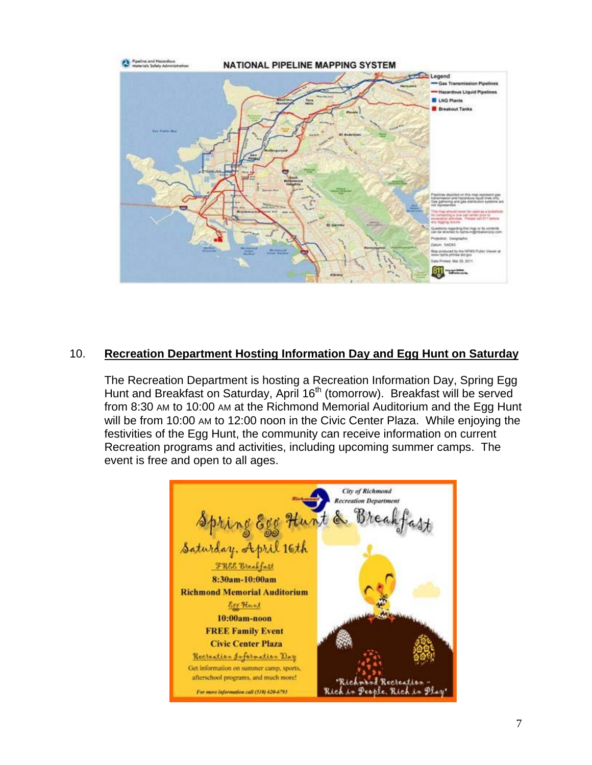

## 10. **Recreation Department Hosting Information Day and Egg Hunt on Saturday**

The Recreation Department is hosting a Recreation Information Day, Spring Egg Hunt and Breakfast on Saturday, April 16<sup>th</sup> (tomorrow). Breakfast will be served from 8:30 AM to 10:00 AM at the Richmond Memorial Auditorium and the Egg Hunt will be from 10:00 AM to 12:00 noon in the Civic Center Plaza. While enjoying the festivities of the Egg Hunt, the community can receive information on current Recreation programs and activities, including upcoming summer camps. The event is free and open to all ages.